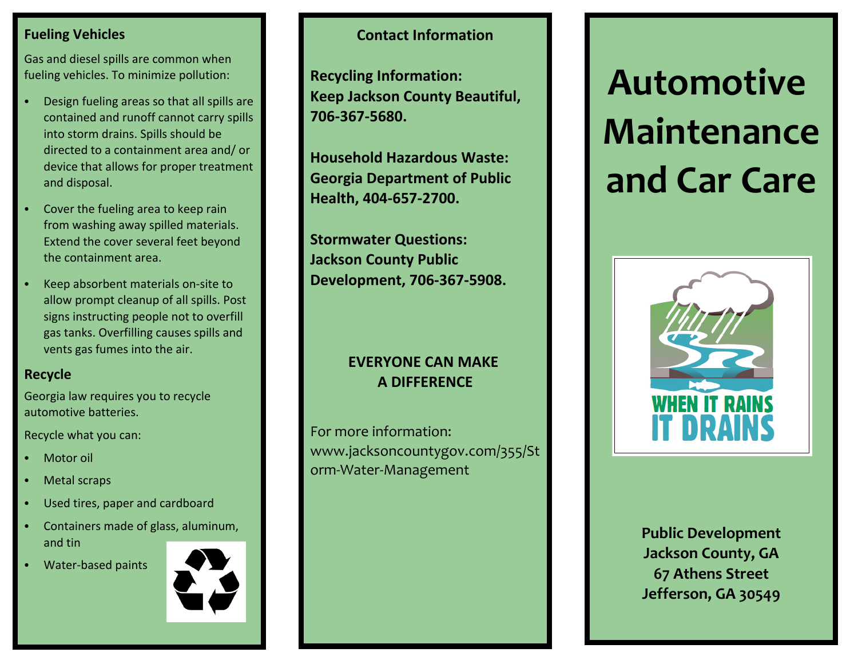### **Fueling Vehicles**

Gas and diesel spills are common when fueling vehicles. To minimize pollution:

- C Design fueling areas so that all spills are contained and runoff cannot carry spills into storm drains. Spills should be directed to <sup>a</sup> containment area and/ or device that allows for proper treatment and disposal.
- C Cover the fueling area to keep rain from washing away spilled materials. Extend the cover several feet beyond the containment area.
- C Keep absorbent materials on‐site to allow prompt cleanup of all spills. Post signs instructing people not to overfill gas tanks. Overfilling causes spills and vents gas fumes into the air.

#### **Recycle**

Georgia law requires you to recycle automotive batteries.

Recycle what you can:

- CMotor oil
- CMetal scraps
- CUsed tires, paper and cardboard
- C Containers made of glass, aluminum, and tin
- C• Water-based paints



# **Contact Information**

**Recycling Information: Keep Jackson County Beautiful, 706‐367‐5680.**

**Household Hazardous Waste: Georgia Department of Public Health, 404‐657‐2700.**

**Stormwater Questions: Jackson County Public Development, 706‐367‐5908.**

# **EVERYONE CAN MAKE A DIFFERENCE**

For more information: www.jacksoncountygov.com/355/St orm‐Water‐Management

# **Automotive Maintenanceand Car Care**



**Public Development Jackson County, GA 67 Athens Street Jefferson, GA 30549**